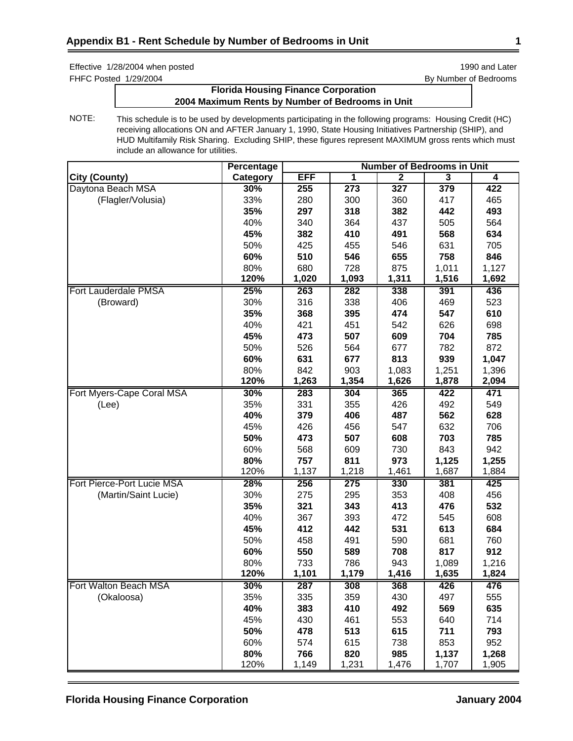FHFC Posted 1/29/2004 **By Number of Bedrooms** 

# **Florida Housing Finance Corporation 2004 Maximum Rents by Number of Bedrooms in Unit**

|                             | <b>Percentage</b> | <b>Number of Bedrooms in Unit</b> |       |                |                         |       |
|-----------------------------|-------------------|-----------------------------------|-------|----------------|-------------------------|-------|
| <b>City (County)</b>        | Category          | <b>EFF</b>                        | 1     | $\overline{2}$ | $\overline{\mathbf{3}}$ | 4     |
| Daytona Beach MSA           | 30%               | 255                               | 273   | 327            | 379                     | 422   |
| (Flagler/Volusia)           | 33%               | 280                               | 300   | 360            | 417                     | 465   |
|                             | 35%               | 297                               | 318   | 382            | 442                     | 493   |
|                             | 40%               | 340                               | 364   | 437            | 505                     | 564   |
|                             | 45%               | 382                               | 410   | 491            | 568                     | 634   |
|                             | 50%               | 425                               | 455   | 546            | 631                     | 705   |
|                             | 60%               | 510                               | 546   | 655            | 758                     | 846   |
|                             | 80%               | 680                               | 728   | 875            | 1,011                   | 1,127 |
|                             | 120%              | 1,020                             | 1,093 | 1,311          | 1,516                   | 1,692 |
| <b>Fort Lauderdale PMSA</b> | 25%               | 263                               | 282   | 338            | 391                     | 436   |
| (Broward)                   | 30%               | 316                               | 338   | 406            | 469                     | 523   |
|                             | 35%               | 368                               | 395   | 474            | 547                     | 610   |
|                             | 40%               | 421                               | 451   | 542            | 626                     | 698   |
|                             | 45%               | 473                               | 507   | 609            | 704                     | 785   |
|                             | 50%               | 526                               | 564   | 677            | 782                     | 872   |
|                             | 60%               | 631                               | 677   | 813            | 939                     | 1,047 |
|                             | 80%               | 842                               | 903   | 1,083          | 1,251                   | 1,396 |
|                             | 120%              | 1,263                             | 1,354 | 1,626          | 1,878                   | 2,094 |
| Fort Myers-Cape Coral MSA   | 30%               | 283                               | 304   | 365            | 422                     | 471   |
| (Lee)                       | 35%               | 331                               | 355   | 426            | 492                     | 549   |
|                             | 40%               | 379                               | 406   | 487            | 562                     | 628   |
|                             | 45%               | 426                               | 456   | 547            | 632                     | 706   |
|                             | 50%               | 473                               | 507   | 608            | 703                     | 785   |
|                             | 60%               | 568                               | 609   | 730            | 843                     | 942   |
|                             | 80%               | 757                               | 811   | 973            | 1,125                   | 1,255 |
|                             | 120%              | 1,137                             | 1,218 | 1,461          | 1,687                   | 1,884 |
| Fort Pierce-Port Lucie MSA  | 28%               | 256                               | 275   | 330            | 381                     | 425   |
| (Martin/Saint Lucie)        | 30%               | 275                               | 295   | 353            | 408                     | 456   |
|                             | 35%               | 321                               | 343   | 413            | 476                     | 532   |
|                             | 40%               | 367                               | 393   | 472            | 545                     | 608   |
|                             | 45%               | 412                               | 442   | 531            | 613                     | 684   |
|                             | 50%               | 458                               | 491   | 590            | 681                     | 760   |
|                             | 60%               | 550                               | 589   | 708            | 817                     | 912   |
|                             | 80%               | 733                               | 786   | 943            | 1,089                   | 1,216 |
|                             | 120%              | 1,101                             | 1,179 | 1,416          | 1,635                   | 1,824 |
| Fort Walton Beach MSA       | 30%               | 287                               | 308   | 368            | 426                     | 476   |
| (Okaloosa)                  | 35%               | 335                               | 359   | 430            | 497                     | 555   |
|                             | 40%               | 383                               | 410   | 492            | 569                     | 635   |
|                             | 45%               | 430                               | 461   | 553            | 640                     | 714   |
|                             | 50%               | 478                               | 513   | 615            | 711                     | 793   |
|                             | 60%               | 574                               | 615   | 738            | 853                     | 952   |
|                             | 80%               | 766                               | 820   | 985            | 1,137                   | 1,268 |
|                             | 120%              | 1,149                             | 1,231 | 1,476          | 1,707                   | 1,905 |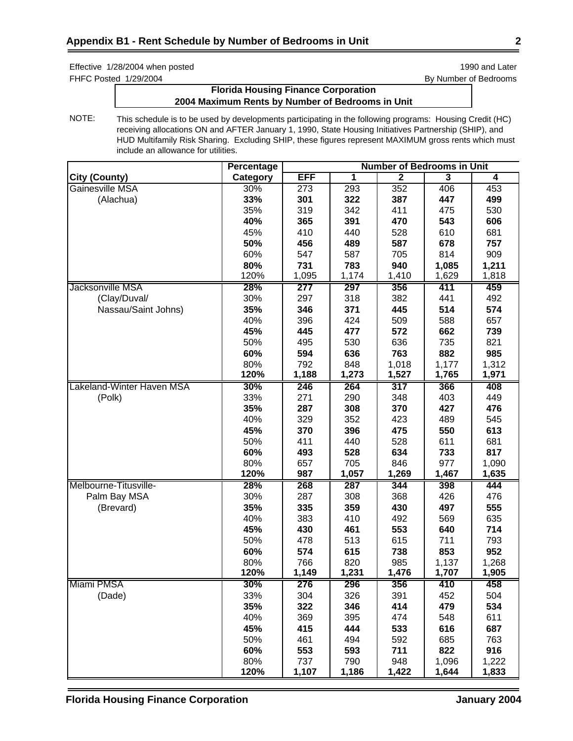Effective 1/28/2004 when posted is a state of the state of the state 1990 and Later 1990 and Later FHFC Posted 1/29/2004 **By Number of Bedrooms** 

# **Florida Housing Finance Corporation 2004 Maximum Rents by Number of Bedrooms in Unit**

|                           | <b>Percentage</b> |            | <b>Number of Bedrooms in Unit</b> |                |                         |       |  |
|---------------------------|-------------------|------------|-----------------------------------|----------------|-------------------------|-------|--|
| <b>City (County)</b>      | Category          | <b>EFF</b> | 1                                 | $\overline{2}$ | $\overline{\mathbf{3}}$ | 4     |  |
| Gainesville MSA           | 30%               | 273        | 293                               | 352            | 406                     | 453   |  |
| (Alachua)                 | 33%               | 301        | 322                               | 387            | 447                     | 499   |  |
|                           | 35%               | 319        | 342                               | 411            | 475                     | 530   |  |
|                           | 40%               | 365        | 391                               | 470            | 543                     | 606   |  |
|                           | 45%               | 410        | 440                               | 528            | 610                     | 681   |  |
|                           | 50%               | 456        | 489                               | 587            | 678                     | 757   |  |
|                           | 60%               | 547        | 587                               | 705            | 814                     | 909   |  |
|                           | 80%               | 731        | 783                               | 940            | 1,085                   | 1,211 |  |
|                           | 120%              | 1,095      | 1,174                             | 1,410          | 1,629                   | 1,818 |  |
| Jacksonville MSA          | 28%               | 277        | 297                               | 356            | 411                     | 459   |  |
| (Clay/Duval/              | 30%               | 297        | 318                               | 382            | 441                     | 492   |  |
| Nassau/Saint Johns)       | 35%               | 346        | 371                               | 445            | 514                     | 574   |  |
|                           | 40%               | 396        | 424                               | 509            | 588                     | 657   |  |
|                           | 45%               | 445        | 477                               | 572            | 662                     | 739   |  |
|                           | 50%               | 495        | 530                               | 636            | 735                     | 821   |  |
|                           | 60%               | 594        | 636                               | 763            | 882                     | 985   |  |
|                           | 80%               | 792        | 848                               | 1,018          | 1,177                   | 1,312 |  |
|                           | 120%              | 1,188      | 1,273                             | 1,527          | 1,765                   | 1,971 |  |
| Lakeland-Winter Haven MSA | 30%               | 246        | 264                               | 317            | 366                     | 408   |  |
| (Polk)                    | 33%               | 271        | 290                               | 348            | 403                     | 449   |  |
|                           | 35%               | 287        | 308                               | 370            | 427                     | 476   |  |
|                           | 40%               | 329        | 352                               | 423            | 489                     | 545   |  |
|                           | 45%               | 370        | 396                               | 475            | 550                     | 613   |  |
|                           | 50%               | 411        | 440                               | 528            | 611                     | 681   |  |
|                           | 60%               | 493        | 528                               | 634            | 733                     | 817   |  |
|                           | 80%               | 657        | 705                               | 846            | 977                     | 1,090 |  |
|                           | 120%              | 987        | 1,057                             | 1,269          | 1,467                   | 1,635 |  |
| Melbourne-Titusville-     | 28%               | 268        | 287                               | 344            | 398                     | 444   |  |
| Palm Bay MSA              | 30%               | 287        | 308                               | 368            | 426                     | 476   |  |
| (Brevard)                 | 35%               | 335        | 359                               | 430            | 497                     | 555   |  |
|                           | 40%               | 383        | 410                               | 492            | 569                     | 635   |  |
|                           | 45%               | 430        | 461                               | 553            | 640                     | 714   |  |
|                           | 50%               | 478        | 513                               | 615            | 711                     | 793   |  |
|                           | 60%               | 574        | 615                               | 738            | 853                     | 952   |  |
|                           | 80%               | 766        | 820                               | 985            | 1,137                   | 1,268 |  |
|                           | 120%              | 1,149      | 1,231                             | 1,476          | 1,707                   | 1,905 |  |
| Miami PMSA                | 30%               | 276        | 296                               | 356            | 410                     | 458   |  |
| (Dade)                    | 33%               | 304        | 326                               | 391            | 452                     | 504   |  |
|                           | 35%               | 322        | 346                               | 414            | 479                     | 534   |  |
|                           | 40%               | 369        | 395                               | 474            | 548                     | 611   |  |
|                           | 45%               | 415        | 444                               | 533            | 616                     | 687   |  |
|                           | 50%               | 461        | 494                               | 592            | 685                     | 763   |  |
|                           | 60%               | 553        | 593                               | 711            | 822                     | 916   |  |
|                           | 80%               | 737        | 790                               | 948            | 1,096                   | 1,222 |  |
|                           | 120%              | 1,107      | 1,186                             | 1,422          | 1,644                   | 1,833 |  |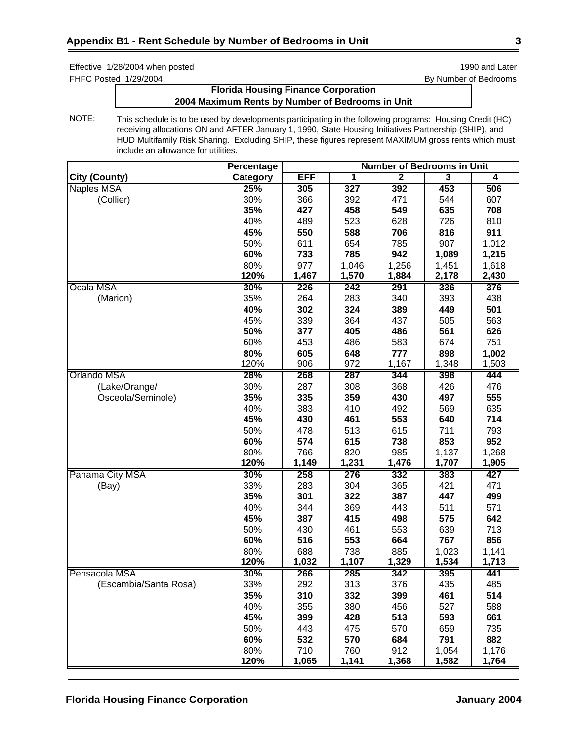FHFC Posted 1/29/2004 **By Number of Bedrooms** 

# **Florida Housing Finance Corporation 2004 Maximum Rents by Number of Bedrooms in Unit**

|                       | Percentage | <b>Number of Bedrooms in Unit</b> |       |                |                         |       |
|-----------------------|------------|-----------------------------------|-------|----------------|-------------------------|-------|
| <b>City (County)</b>  | Category   | <b>EFF</b>                        | 1     | $\overline{2}$ | $\overline{\mathbf{3}}$ | 4     |
| Naples MSA            | 25%        | 305                               | 327   | 392            | 453                     | 506   |
| (Collier)             | 30%        | 366                               | 392   | 471            | 544                     | 607   |
|                       | 35%        | 427                               | 458   | 549            | 635                     | 708   |
|                       | 40%        | 489                               | 523   | 628            | 726                     | 810   |
|                       | 45%        | 550                               | 588   | 706            | 816                     | 911   |
|                       | 50%        | 611                               | 654   | 785            | 907                     | 1,012 |
|                       | 60%        | 733                               | 785   | 942            | 1,089                   | 1,215 |
|                       | 80%        | 977                               | 1,046 | 1,256          | 1,451                   | 1,618 |
|                       | 120%       | 1,467                             | 1,570 | 1,884          | 2,178                   | 2,430 |
| Ocala MSA             | 30%        | 226                               | 242   | 291            | 336                     | 376   |
| (Marion)              | 35%        | 264                               | 283   | 340            | 393                     | 438   |
|                       | 40%        | 302                               | 324   | 389            | 449                     | 501   |
|                       | 45%        | 339                               | 364   | 437            | 505                     | 563   |
|                       | 50%        | 377                               | 405   | 486            | 561                     | 626   |
|                       | 60%        | 453                               | 486   | 583            | 674                     | 751   |
|                       | 80%        | 605                               | 648   | 777            | 898                     | 1,002 |
|                       | 120%       | 906                               | 972   | 1,167          | 1,348                   | 1,503 |
| Orlando MSA           | 28%        | 268                               | 287   | 344            | 398                     | 444   |
| (Lake/Orange/         | 30%        | 287                               | 308   | 368            | 426                     | 476   |
| Osceola/Seminole)     | 35%        | 335                               | 359   | 430            | 497                     | 555   |
|                       | 40%        | 383                               | 410   | 492            | 569                     | 635   |
|                       | 45%        | 430                               | 461   | 553            | 640                     | 714   |
|                       | 50%        | 478                               | 513   | 615            | 711                     | 793   |
|                       | 60%        | 574                               | 615   | 738            | 853                     | 952   |
|                       | 80%        | 766                               | 820   | 985            | 1,137                   | 1,268 |
|                       | 120%       | 1,149                             | 1,231 | 1,476          | 1,707                   | 1,905 |
| Panama City MSA       | 30%        | 258                               | 276   | 332            | 383                     | 427   |
| (Bay)                 | 33%        | 283                               | 304   | 365            | 421                     | 471   |
|                       | 35%        | 301                               | 322   | 387            | 447                     | 499   |
|                       | 40%        | 344                               | 369   | 443            | 511                     | 571   |
|                       | 45%        | 387                               | 415   | 498            | 575                     | 642   |
|                       | 50%        | 430                               | 461   | 553            | 639                     | 713   |
|                       | 60%        | 516                               | 553   | 664            | 767                     | 856   |
|                       | 80%        | 688                               | 738   | 885            | 1,023                   | 1,141 |
|                       | 120%       | 1,032                             | 1,107 | 1,329          | 1,534                   | 1,713 |
| Pensacola MSA         | 30%        | 266                               | 285   | 342            | 395                     | 441   |
| (Escambia/Santa Rosa) | 33%        | 292                               | 313   | 376            | 435                     | 485   |
|                       | 35%        | 310                               | 332   | 399            | 461                     | 514   |
|                       | 40%        | 355                               | 380   | 456            | 527                     | 588   |
|                       | 45%        | 399                               | 428   | 513            | 593                     | 661   |
|                       | 50%        | 443                               | 475   | 570            | 659                     | 735   |
|                       | 60%        | 532                               | 570   | 684            | 791                     | 882   |
|                       | 80%        | 710                               | 760   | 912            | 1,054                   | 1,176 |
|                       | 120%       | 1,065                             | 1,141 | 1,368          | 1,582                   | 1,764 |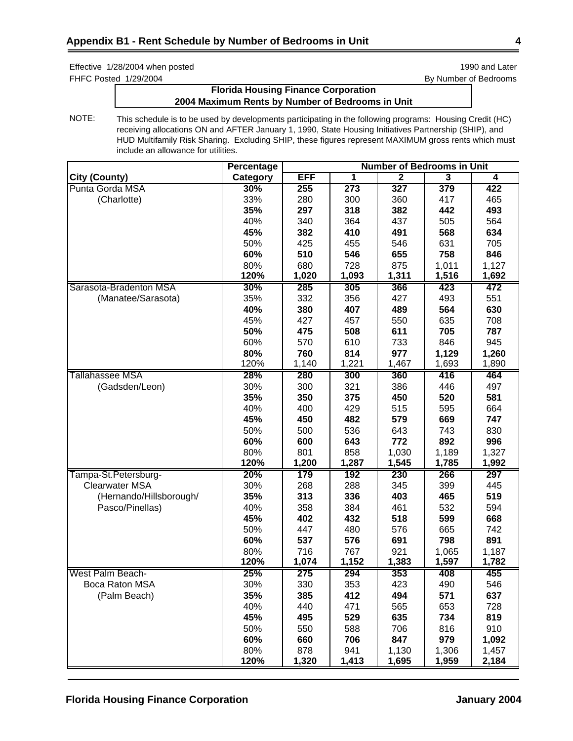Effective 1/28/2004 when posted is a state of the state of the state 1990 and Later 1990 and Later FHFC Posted 1/29/2004 **By Number of Bedrooms** 

# **Florida Housing Finance Corporation 2004 Maximum Rents by Number of Bedrooms in Unit**

|                         | Percentage | <b>Number of Bedrooms in Unit</b> |                  |                |       |       |
|-------------------------|------------|-----------------------------------|------------------|----------------|-------|-------|
| <b>City (County)</b>    | Category   | <b>EFF</b>                        | 1                | $\overline{2}$ | 3     | 4     |
| Punta Gorda MSA         | 30%        | 255                               | $\overline{273}$ | 327            | 379   | 422   |
| (Charlotte)             | 33%        | 280                               | 300              | 360            | 417   | 465   |
|                         | 35%        | 297                               | 318              | 382            | 442   | 493   |
|                         | 40%        | 340                               | 364              | 437            | 505   | 564   |
|                         | 45%        | 382                               | 410              | 491            | 568   | 634   |
|                         | 50%        | 425                               | 455              | 546            | 631   | 705   |
|                         | 60%        | 510                               | 546              | 655            | 758   | 846   |
|                         | 80%        | 680                               | 728              | 875            | 1,011 | 1,127 |
|                         | 120%       | 1,020                             | 1,093            | 1,311          | 1,516 | 1,692 |
| Sarasota-Bradenton MSA  | 30%        | 285                               | 305              | 366            | 423   | 472   |
| (Manatee/Sarasota)      | 35%        | 332                               | 356              | 427            | 493   | 551   |
|                         | 40%        | 380                               | 407              | 489            | 564   | 630   |
|                         | 45%        | 427                               | 457              | 550            | 635   | 708   |
|                         | 50%        | 475                               | 508              | 611            | 705   | 787   |
|                         | 60%        | 570                               | 610              | 733            | 846   | 945   |
|                         | 80%        | 760                               | 814              | 977            | 1,129 | 1,260 |
|                         | 120%       | 1,140                             | 1,221            | 1,467          | 1,693 | 1,890 |
| Tallahassee MSA         | 28%        | 280                               | 300              | 360            | 416   | 464   |
| (Gadsden/Leon)          | 30%        | 300                               | 321              | 386            | 446   | 497   |
|                         | 35%        | 350                               | 375              | 450            | 520   | 581   |
|                         | 40%        | 400                               | 429              | 515            | 595   | 664   |
|                         | 45%        | 450                               | 482              | 579            | 669   | 747   |
|                         | 50%        | 500                               | 536              | 643            | 743   | 830   |
|                         | 60%        | 600                               | 643              | 772            | 892   | 996   |
|                         | 80%        | 801                               | 858              | 1,030          | 1,189 | 1,327 |
|                         | 120%       | 1,200                             | 1,287            | 1,545          | 1,785 | 1,992 |
| Tampa-St.Petersburg-    | 20%        | 179                               | 192              | 230            | 266   | 297   |
| <b>Clearwater MSA</b>   | 30%        | 268                               | 288              | 345            | 399   | 445   |
| (Hernando/Hillsborough/ | 35%        | 313                               | 336              | 403            | 465   | 519   |
| Pasco/Pinellas)         | 40%        | 358                               | 384              | 461            | 532   | 594   |
|                         | 45%        | 402                               | 432              | 518            | 599   | 668   |
|                         | 50%        | 447                               | 480              | 576            | 665   | 742   |
|                         | 60%        | 537                               | 576              | 691            | 798   | 891   |
|                         | 80%        | 716                               | 767              | 921            | 1,065 | 1,187 |
|                         | 120%       | 1,074                             | 1,152            | 1,383          | 1,597 | 1,782 |
| West Palm Beach-        | 25%        | 275                               | 294              | 353            | 408   | 455   |
| Boca Raton MSA          | 30%        | 330                               | 353              | 423            | 490   | 546   |
| (Palm Beach)            | 35%        | 385                               | 412              | 494            | 571   | 637   |
|                         | 40%        | 440                               | 471              | 565            | 653   | 728   |
|                         | 45%        | 495                               | 529              | 635            | 734   | 819   |
|                         | 50%        | 550                               | 588              | 706            | 816   | 910   |
|                         | 60%        | 660                               | 706              | 847            | 979   | 1,092 |
|                         | 80%        | 878                               | 941              | 1,130          | 1,306 | 1,457 |
|                         | 120%       | 1,320                             | 1,413            | 1,695          | 1,959 | 2,184 |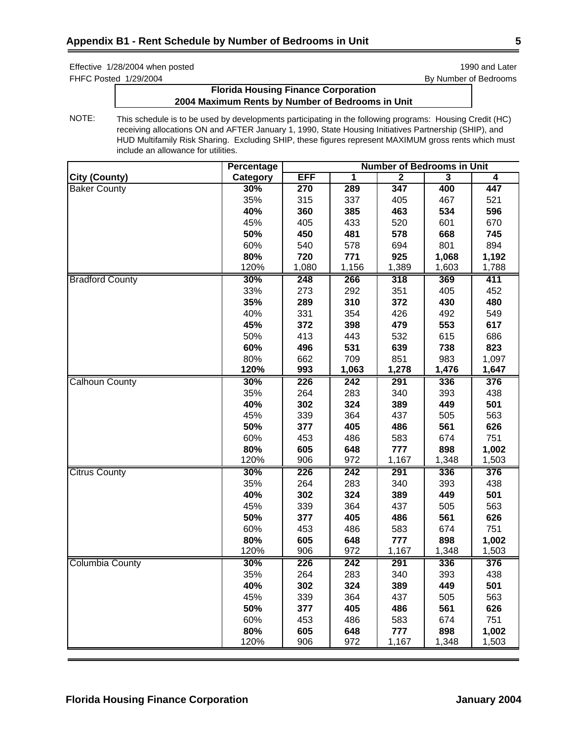FHFC Posted 1/29/2004 **By Number of Bedrooms** 

# **Florida Housing Finance Corporation 2004 Maximum Rents by Number of Bedrooms in Unit**

|                        | Percentage | <b>Number of Bedrooms in Unit</b> |       |                |                         |       |
|------------------------|------------|-----------------------------------|-------|----------------|-------------------------|-------|
| <b>City (County)</b>   | Category   | <b>EFF</b>                        | 1     | $\overline{2}$ | $\overline{\mathbf{3}}$ | 4     |
| <b>Baker County</b>    | 30%        | 270                               | 289   | 347            | 400                     | 447   |
|                        | 35%        | 315                               | 337   | 405            | 467                     | 521   |
|                        | 40%        | 360                               | 385   | 463            | 534                     | 596   |
|                        | 45%        | 405                               | 433   | 520            | 601                     | 670   |
|                        | 50%        | 450                               | 481   | 578            | 668                     | 745   |
|                        | 60%        | 540                               | 578   | 694            | 801                     | 894   |
|                        | 80%        | 720                               | 771   | 925            | 1,068                   | 1,192 |
|                        | 120%       | 1,080                             | 1,156 | 1,389          | 1,603                   | 1,788 |
| <b>Bradford County</b> | 30%        | 248                               | 266   | 318            | 369                     | 411   |
|                        | 33%        | 273                               | 292   | 351            | 405                     | 452   |
|                        | 35%        | 289                               | 310   | 372            | 430                     | 480   |
|                        | 40%        | 331                               | 354   | 426            | 492                     | 549   |
|                        | 45%        | 372                               | 398   | 479            | 553                     | 617   |
|                        | 50%        | 413                               | 443   | 532            | 615                     | 686   |
|                        | 60%        | 496                               | 531   | 639            | 738                     | 823   |
|                        | 80%        | 662                               | 709   | 851            | 983                     | 1,097 |
|                        | 120%       | 993                               | 1,063 | 1,278          | 1,476                   | 1,647 |
| <b>Calhoun County</b>  | 30%        | 226                               | 242   | 291            | 336                     | 376   |
|                        | 35%        | 264                               | 283   | 340            | 393                     | 438   |
|                        | 40%        | 302                               | 324   | 389            | 449                     | 501   |
|                        | 45%        | 339                               | 364   | 437            | 505                     | 563   |
|                        | 50%        | 377                               | 405   | 486            | 561                     | 626   |
|                        | 60%        | 453                               | 486   | 583            | 674                     | 751   |
|                        | 80%        | 605                               | 648   | 777            | 898                     | 1,002 |
|                        | 120%       | 906                               | 972   | 1,167          | 1,348                   | 1,503 |
| <b>Citrus County</b>   | 30%        | 226                               | 242   | 291            | 336                     | 376   |
|                        | 35%        | 264                               | 283   | 340            | 393                     | 438   |
|                        | 40%        | 302                               | 324   | 389            | 449                     | 501   |
|                        | 45%        | 339                               | 364   | 437            | 505                     | 563   |
|                        | 50%        | 377                               | 405   | 486            | 561                     | 626   |
|                        | 60%        | 453                               | 486   | 583            | 674                     | 751   |
|                        | 80%        | 605                               | 648   | 777            | 898                     | 1,002 |
|                        | 120%       | 906                               | 972   | 1,167          | 1,348                   | 1,503 |
| <b>Columbia County</b> | 30%        | 226                               | 242   | 291            | 336                     | 376   |
|                        | 35%        | 264                               | 283   | 340            | 393                     | 438   |
|                        | 40%        | 302                               | 324   | 389            | 449                     | 501   |
|                        | 45%        | 339                               | 364   | 437            | 505                     | 563   |
|                        | 50%        | 377                               | 405   | 486            | 561                     | 626   |
|                        | 60%        | 453                               | 486   | 583            | 674                     | 751   |
|                        | 80%        | 605                               | 648   | 777            | 898                     | 1,002 |
|                        | 120%       | 906                               | 972   | 1,167          | 1,348                   | 1,503 |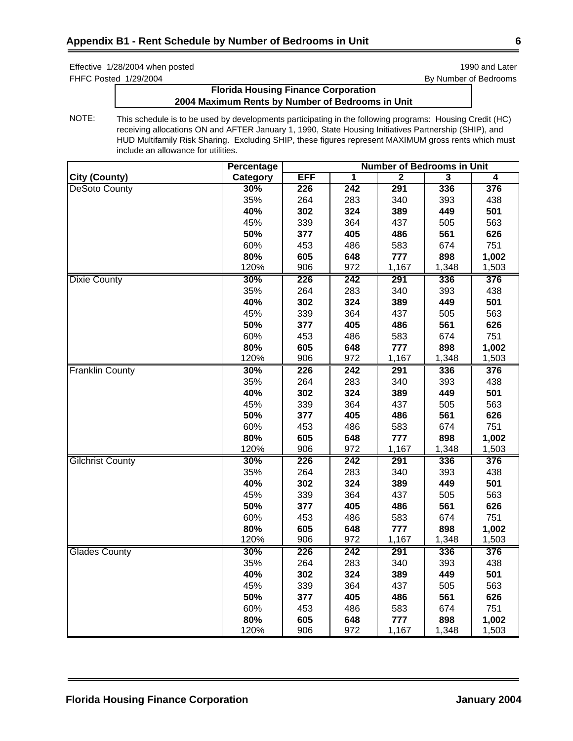FHFC Posted 1/29/2004 **By Number of Bedrooms** 

# **Florida Housing Finance Corporation 2004 Maximum Rents by Number of Bedrooms in Unit**

|                         | Percentage | <b>Number of Bedrooms in Unit</b> |                         |                |                         |                         |
|-------------------------|------------|-----------------------------------|-------------------------|----------------|-------------------------|-------------------------|
| <b>City (County)</b>    | Category   | <b>EFF</b>                        | $\overline{\mathbf{1}}$ | $\overline{2}$ | $\overline{\mathbf{3}}$ | $\overline{\mathbf{4}}$ |
| <b>DeSoto County</b>    | 30%        | 226                               | $\overline{242}$        | 291            | 336                     | 376                     |
|                         | 35%        | 264                               | 283                     | 340            | 393                     | 438                     |
|                         | 40%        | 302                               | 324                     | 389            | 449                     | 501                     |
|                         | 45%        | 339                               | 364                     | 437            | 505                     | 563                     |
|                         | 50%        | 377                               | 405                     | 486            | 561                     | 626                     |
|                         | 60%        | 453                               | 486                     | 583            | 674                     | 751                     |
|                         | 80%        | 605                               | 648                     | 777            | 898                     | 1,002                   |
|                         | 120%       | 906                               | 972                     | 1,167          | 1,348                   | 1,503                   |
| <b>Dixie County</b>     | 30%        | 226                               | 242                     | 291            | 336                     | 376                     |
|                         | 35%        | 264                               | 283                     | 340            | 393                     | 438                     |
|                         | 40%        | 302                               | 324                     | 389            | 449                     | 501                     |
|                         | 45%        | 339                               | 364                     | 437            | 505                     | 563                     |
|                         | 50%        | 377                               | 405                     | 486            | 561                     | 626                     |
|                         | 60%        | 453                               | 486                     | 583            | 674                     | 751                     |
|                         | 80%        | 605                               | 648                     | 777            | 898                     | 1,002                   |
|                         | 120%       | 906                               | 972                     | 1,167          | 1,348                   | 1,503                   |
| <b>Franklin County</b>  | 30%        | 226                               | 242                     | 291            | 336                     | 376                     |
|                         | 35%        | 264                               | 283                     | 340            | 393                     | 438                     |
|                         | 40%        | 302                               | 324                     | 389            | 449                     | 501                     |
|                         | 45%        | 339                               | 364                     | 437            | 505                     | 563                     |
|                         | 50%        | 377                               | 405                     | 486            | 561                     | 626                     |
|                         | 60%        | 453                               | 486                     | 583            | 674                     | 751                     |
|                         | 80%        | 605                               | 648                     | 777            | 898                     | 1,002                   |
|                         | 120%       | 906                               | 972                     | 1,167          | 1,348                   | 1,503                   |
| <b>Gilchrist County</b> | 30%        | 226                               | 242                     | 291            | 336                     | 376                     |
|                         | 35%        | 264                               | 283                     | 340            | 393                     | 438                     |
|                         | 40%        | 302                               | 324                     | 389            | 449                     | 501                     |
|                         | 45%        | 339                               | 364                     | 437            | 505                     | 563                     |
|                         | 50%        | 377                               | 405                     | 486            | 561                     | 626                     |
|                         | 60%        | 453                               | 486                     | 583            | 674                     | 751                     |
|                         | 80%        | 605                               | 648                     | 777            | 898                     | 1,002                   |
|                         | 120%       | 906                               | 972                     | 1,167          | 1,348                   | 1,503                   |
| <b>Glades County</b>    | 30%        | 226                               | 242                     | 291            | 336                     | 376                     |
|                         | 35%        | 264                               | 283                     | 340            | 393                     | 438                     |
|                         | 40%        | 302                               | 324                     | 389            | 449                     | 501                     |
|                         | 45%        | 339                               | 364                     | 437            | 505                     | 563                     |
|                         | 50%        | 377                               | 405                     | 486            | 561                     | 626                     |
|                         | 60%        | 453                               | 486                     | 583            | 674                     | 751                     |
|                         | 80%        | 605                               | 648                     | 777            | 898                     | 1,002                   |
|                         | 120%       | 906                               | 972                     | 1,167          | 1,348                   | 1,503                   |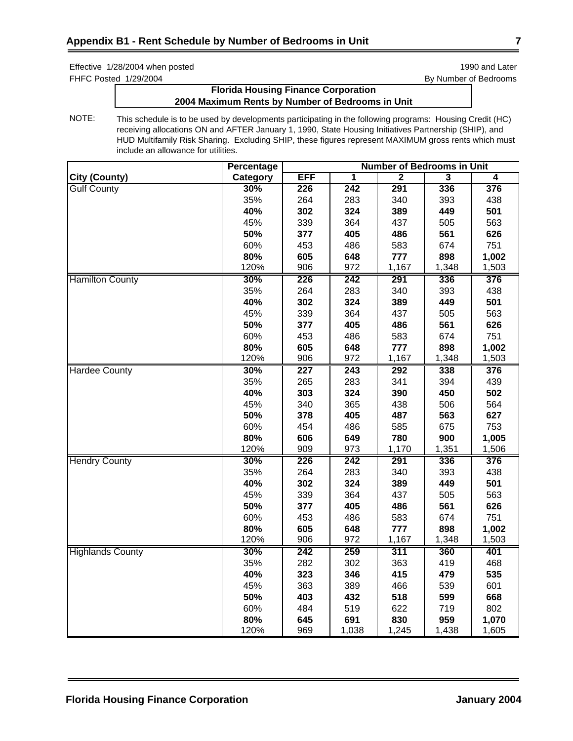FHFC Posted 1/29/2004 **By Number of Bedrooms** 

# **Florida Housing Finance Corporation 2004 Maximum Rents by Number of Bedrooms in Unit**

|                         | Percentage | <b>Number of Bedrooms in Unit</b> |                         |                |                         |       |
|-------------------------|------------|-----------------------------------|-------------------------|----------------|-------------------------|-------|
| <b>City (County)</b>    | Category   | <b>EFF</b>                        | $\overline{\mathbf{1}}$ | $\overline{2}$ | $\overline{\mathbf{3}}$ | 4     |
| <b>Gulf County</b>      | 30%        | 226                               | $\overline{242}$        | 291            | 336                     | 376   |
|                         | 35%        | 264                               | 283                     | 340            | 393                     | 438   |
|                         | 40%        | 302                               | 324                     | 389            | 449                     | 501   |
|                         | 45%        | 339                               | 364                     | 437            | 505                     | 563   |
|                         | 50%        | 377                               | 405                     | 486            | 561                     | 626   |
|                         | 60%        | 453                               | 486                     | 583            | 674                     | 751   |
|                         | 80%        | 605                               | 648                     | 777            | 898                     | 1,002 |
|                         | 120%       | 906                               | 972                     | 1,167          | 1,348                   | 1,503 |
| <b>Hamilton County</b>  | 30%        | 226                               | 242                     | 291            | 336                     | 376   |
|                         | 35%        | 264                               | 283                     | 340            | 393                     | 438   |
|                         | 40%        | 302                               | 324                     | 389            | 449                     | 501   |
|                         | 45%        | 339                               | 364                     | 437            | 505                     | 563   |
|                         | 50%        | 377                               | 405                     | 486            | 561                     | 626   |
|                         | 60%        | 453                               | 486                     | 583            | 674                     | 751   |
|                         | 80%        | 605                               | 648                     | 777            | 898                     | 1,002 |
|                         | 120%       | 906                               | 972                     | 1,167          | 1,348                   | 1,503 |
| <b>Hardee County</b>    | 30%        | 227                               | 243                     | 292            | 338                     | 376   |
|                         | 35%        | 265                               | 283                     | 341            | 394                     | 439   |
|                         | 40%        | 303                               | 324                     | 390            | 450                     | 502   |
|                         | 45%        | 340                               | 365                     | 438            | 506                     | 564   |
|                         | 50%        | 378                               | 405                     | 487            | 563                     | 627   |
|                         | 60%        | 454                               | 486                     | 585            | 675                     | 753   |
|                         | 80%        | 606                               | 649                     | 780            | 900                     | 1,005 |
|                         | 120%       | 909                               | 973                     | 1,170          | 1,351                   | 1,506 |
| <b>Hendry County</b>    | 30%        | 226                               | 242                     | 291            | 336                     | 376   |
|                         | 35%        | 264                               | 283                     | 340            | 393                     | 438   |
|                         | 40%        | 302                               | 324                     | 389            | 449                     | 501   |
|                         | 45%        | 339                               | 364                     | 437            | 505                     | 563   |
|                         | 50%        | 377                               | 405                     | 486            | 561                     | 626   |
|                         | 60%        | 453                               | 486                     | 583            | 674                     | 751   |
|                         | 80%        | 605                               | 648                     | 777            | 898                     | 1,002 |
|                         | 120%       | 906                               | 972                     | 1,167          | 1,348                   | 1,503 |
| <b>Highlands County</b> | 30%        | 242                               | 259                     | 311            | 360                     | 401   |
|                         | 35%        | 282                               | 302                     | 363            | 419                     | 468   |
|                         | 40%        | 323                               | 346                     | 415            | 479                     | 535   |
|                         | 45%        | 363                               | 389                     | 466            | 539                     | 601   |
|                         | 50%        | 403                               | 432                     | 518            | 599                     | 668   |
|                         | 60%        | 484                               | 519                     | 622            | 719                     | 802   |
|                         | 80%        | 645                               | 691                     | 830            | 959                     | 1,070 |
|                         | 120%       | 969                               | 1,038                   | 1,245          | 1,438                   | 1,605 |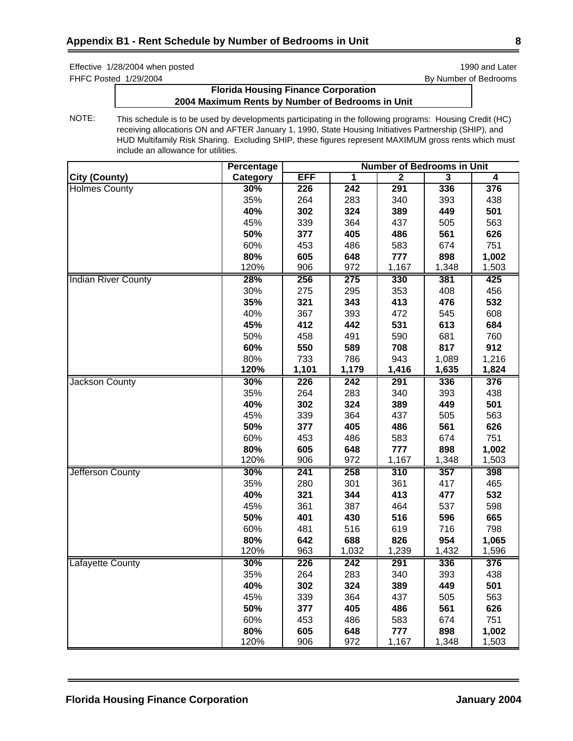FHFC Posted 1/29/2004 **By Number of Bedrooms** 

# **Florida Housing Finance Corporation 2004 Maximum Rents by Number of Bedrooms in Unit**

|                            | <b>Percentage</b> | <b>Number of Bedrooms in Unit</b> |       |                |                         |       |
|----------------------------|-------------------|-----------------------------------|-------|----------------|-------------------------|-------|
| <b>City (County)</b>       | Category          | <b>EFF</b>                        | 1     | $\overline{2}$ | $\overline{\mathbf{3}}$ | 4     |
| <b>Holmes County</b>       | 30%               | 226                               | 242   | 291            | 336                     | 376   |
|                            | 35%               | 264                               | 283   | 340            | 393                     | 438   |
|                            | 40%               | 302                               | 324   | 389            | 449                     | 501   |
|                            | 45%               | 339                               | 364   | 437            | 505                     | 563   |
|                            | 50%               | 377                               | 405   | 486            | 561                     | 626   |
|                            | 60%               | 453                               | 486   | 583            | 674                     | 751   |
|                            | 80%               | 605                               | 648   | 777            | 898                     | 1,002 |
|                            | 120%              | 906                               | 972   | 1,167          | 1,348                   | 1,503 |
| <b>Indian River County</b> | 28%               | 256                               | 275   | 330            | 381                     | 425   |
|                            | 30%               | 275                               | 295   | 353            | 408                     | 456   |
|                            | 35%               | 321                               | 343   | 413            | 476                     | 532   |
|                            | 40%               | 367                               | 393   | 472            | 545                     | 608   |
|                            | 45%               | 412                               | 442   | 531            | 613                     | 684   |
|                            | 50%               | 458                               | 491   | 590            | 681                     | 760   |
|                            | 60%               | 550                               | 589   | 708            | 817                     | 912   |
|                            | 80%               | 733                               | 786   | 943            | 1,089                   | 1,216 |
|                            | 120%              | 1,101                             | 1,179 | 1,416          | 1,635                   | 1,824 |
| <b>Jackson County</b>      | 30%               | 226                               | 242   | 291            | 336                     | 376   |
|                            | 35%               | 264                               | 283   | 340            | 393                     | 438   |
|                            | 40%               | 302                               | 324   | 389            | 449                     | 501   |
|                            | 45%               | 339                               | 364   | 437            | 505                     | 563   |
|                            | 50%               | 377                               | 405   | 486            | 561                     | 626   |
|                            | 60%               | 453                               | 486   | 583            | 674                     | 751   |
|                            | 80%               | 605                               | 648   | 777            | 898                     | 1,002 |
|                            | 120%              | 906                               | 972   | 1,167          | 1,348                   | 1,503 |
| Jefferson County           | 30%               | 241                               | 258   | 310            | 357                     | 398   |
|                            | 35%               | 280                               | 301   | 361            | 417                     | 465   |
|                            | 40%               | 321                               | 344   | 413            | 477                     | 532   |
|                            | 45%               | 361                               | 387   | 464            | 537                     | 598   |
|                            | 50%               | 401                               | 430   | 516            | 596                     | 665   |
|                            | 60%               | 481                               | 516   | 619            | 716                     | 798   |
|                            | 80%               | 642                               | 688   | 826            | 954                     | 1,065 |
|                            | 120%              | 963                               | 1,032 | 1,239          | 1,432                   | 1,596 |
| <b>Lafayette County</b>    | 30%               | 226                               | 242   | 291            | 336                     | 376   |
|                            | 35%               | 264                               | 283   | 340            | 393                     | 438   |
|                            | 40%               | 302                               | 324   | 389            | 449                     | 501   |
|                            | 45%               | 339                               | 364   | 437            | 505                     | 563   |
|                            | 50%               | 377                               | 405   | 486            | 561                     | 626   |
|                            | 60%               | 453                               | 486   | 583            | 674                     | 751   |
|                            | 80%               | 605                               | 648   | 777            | 898                     | 1,002 |
|                            | 120%              | 906                               | 972   | 1,167          | 1,348                   | 1,503 |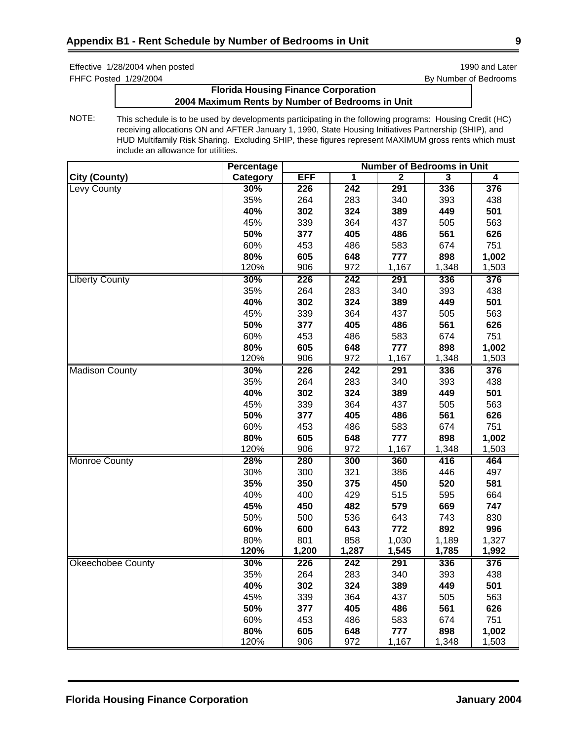FHFC Posted 1/29/2004 **By Number of Bedrooms** 

# **Florida Housing Finance Corporation 2004 Maximum Rents by Number of Bedrooms in Unit**

|                          | <b>Percentage</b> | <b>Number of Bedrooms in Unit</b> |       |                |                         |       |
|--------------------------|-------------------|-----------------------------------|-------|----------------|-------------------------|-------|
| <b>City (County)</b>     | Category          | <b>EFF</b>                        | 1     | $\overline{2}$ | $\overline{\mathbf{3}}$ | 4     |
| Levy County              | 30%               | 226                               | 242   | 291            | 336                     | 376   |
|                          | 35%               | 264                               | 283   | 340            | 393                     | 438   |
|                          | 40%               | 302                               | 324   | 389            | 449                     | 501   |
|                          | 45%               | 339                               | 364   | 437            | 505                     | 563   |
|                          | 50%               | 377                               | 405   | 486            | 561                     | 626   |
|                          | 60%               | 453                               | 486   | 583            | 674                     | 751   |
|                          | 80%               | 605                               | 648   | 777            | 898                     | 1,002 |
|                          | 120%              | 906                               | 972   | 1,167          | 1,348                   | 1,503 |
| <b>Liberty County</b>    | 30%               | 226                               | 242   | 291            | 336                     | 376   |
|                          | 35%               | 264                               | 283   | 340            | 393                     | 438   |
|                          | 40%               | 302                               | 324   | 389            | 449                     | 501   |
|                          | 45%               | 339                               | 364   | 437            | 505                     | 563   |
|                          | 50%               | 377                               | 405   | 486            | 561                     | 626   |
|                          | 60%               | 453                               | 486   | 583            | 674                     | 751   |
|                          | 80%               | 605                               | 648   | 777            | 898                     | 1,002 |
|                          | 120%              | 906                               | 972   | 1,167          | 1,348                   | 1,503 |
| <b>Madison County</b>    | 30%               | 226                               | 242   | 291            | 336                     | 376   |
|                          | 35%               | 264                               | 283   | 340            | 393                     | 438   |
|                          | 40%               | 302                               | 324   | 389            | 449                     | 501   |
|                          | 45%               | 339                               | 364   | 437            | 505                     | 563   |
|                          | 50%               | 377                               | 405   | 486            | 561                     | 626   |
|                          | 60%               | 453                               | 486   | 583            | 674                     | 751   |
|                          | 80%               | 605                               | 648   | 777            | 898                     | 1,002 |
|                          | 120%              | 906                               | 972   | 1,167          | 1,348                   | 1,503 |
| <b>Monroe County</b>     | 28%               | 280                               | 300   | 360            | 416                     | 464   |
|                          | 30%               | 300                               | 321   | 386            | 446                     | 497   |
|                          | 35%               | 350                               | 375   | 450            | 520                     | 581   |
|                          | 40%               | 400                               | 429   | 515            | 595                     | 664   |
|                          | 45%               | 450                               | 482   | 579            | 669                     | 747   |
|                          | 50%               | 500                               | 536   | 643            | 743                     | 830   |
|                          | 60%               | 600                               | 643   | 772            | 892                     | 996   |
|                          | 80%               | 801                               | 858   | 1,030          | 1,189                   | 1,327 |
|                          | 120%              | 1,200                             | 1,287 | 1,545          | 1,785                   | 1,992 |
| <b>Okeechobee County</b> | 30%               | 226                               | 242   | 291            | 336                     | 376   |
|                          | 35%               | 264                               | 283   | 340            | 393                     | 438   |
|                          | 40%               | 302                               | 324   | 389            | 449                     | 501   |
|                          | 45%               | 339                               | 364   | 437            | 505                     | 563   |
|                          | 50%               | 377                               | 405   | 486            | 561                     | 626   |
|                          | 60%               | 453                               | 486   | 583            | 674                     | 751   |
|                          | 80%               | 605                               | 648   | 777            | 898                     | 1,002 |
|                          | 120%              | 906                               | 972   | 1,167          | 1,348                   | 1,503 |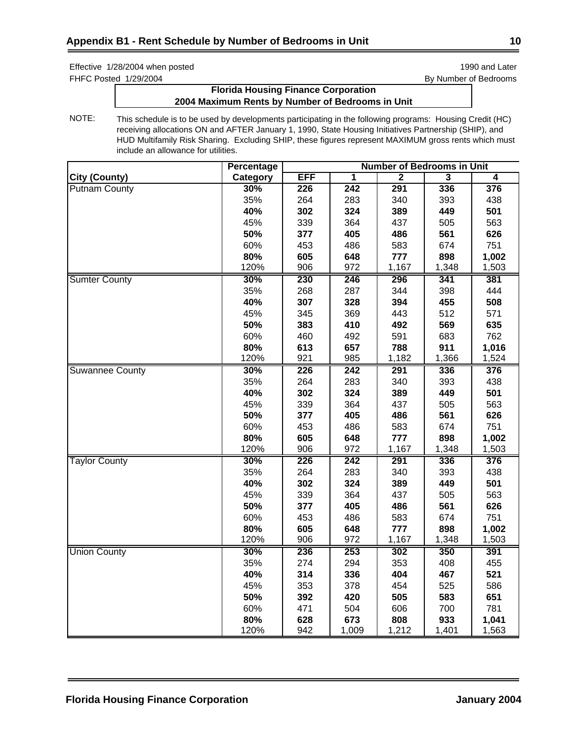FHFC Posted 1/29/2004 **By Number of Bedrooms** 

# **Florida Housing Finance Corporation 2004 Maximum Rents by Number of Bedrooms in Unit**

|                        | <b>Percentage</b> | <b>Number of Bedrooms in Unit</b> |                  |       |       |       |  |
|------------------------|-------------------|-----------------------------------|------------------|-------|-------|-------|--|
| <b>City (County)</b>   | Category          | EFF                               | 1                | 2     | 3     | 4     |  |
| <b>Putnam County</b>   | 30%               | 226                               | $\overline{242}$ | 291   | 336   | 376   |  |
|                        | 35%               | 264                               | 283              | 340   | 393   | 438   |  |
|                        | 40%               | 302                               | 324              | 389   | 449   | 501   |  |
|                        | 45%               | 339                               | 364              | 437   | 505   | 563   |  |
|                        | 50%               | 377                               | 405              | 486   | 561   | 626   |  |
|                        | 60%               | 453                               | 486              | 583   | 674   | 751   |  |
|                        | 80%               | 605                               | 648              | 777   | 898   | 1,002 |  |
|                        | 120%              | 906                               | 972              | 1,167 | 1,348 | 1,503 |  |
| <b>Sumter County</b>   | 30%               | 230                               | 246              | 296   | 341   | 381   |  |
|                        | 35%               | 268                               | 287              | 344   | 398   | 444   |  |
|                        | 40%               | 307                               | 328              | 394   | 455   | 508   |  |
|                        | 45%               | 345                               | 369              | 443   | 512   | 571   |  |
|                        | 50%               | 383                               | 410              | 492   | 569   | 635   |  |
|                        | 60%               | 460                               | 492              | 591   | 683   | 762   |  |
|                        | 80%               | 613                               | 657              | 788   | 911   | 1,016 |  |
|                        | 120%              | 921                               | 985              | 1,182 | 1,366 | 1,524 |  |
| <b>Suwannee County</b> | 30%               | 226                               | 242              | 291   | 336   | 376   |  |
|                        | 35%               | 264                               | 283              | 340   | 393   | 438   |  |
|                        | 40%               | 302                               | 324              | 389   | 449   | 501   |  |
|                        | 45%               | 339                               | 364              | 437   | 505   | 563   |  |
|                        | 50%               | 377                               | 405              | 486   | 561   | 626   |  |
|                        | 60%               | 453                               | 486              | 583   | 674   | 751   |  |
|                        | 80%               | 605                               | 648              | 777   | 898   | 1,002 |  |
|                        | 120%              | 906                               | 972              | 1,167 | 1,348 | 1,503 |  |
| <b>Taylor County</b>   | 30%               | 226                               | 242              | 291   | 336   | 376   |  |
|                        | 35%               | 264                               | 283              | 340   | 393   | 438   |  |
|                        | 40%               | 302                               | 324              | 389   | 449   | 501   |  |
|                        | 45%               | 339                               | 364              | 437   | 505   | 563   |  |
|                        | 50%               | 377                               | 405              | 486   | 561   | 626   |  |
|                        | 60%               | 453                               | 486              | 583   | 674   | 751   |  |
|                        | 80%               | 605                               | 648              | 777   | 898   | 1,002 |  |
|                        | 120%              | 906                               | 972              | 1,167 | 1,348 | 1,503 |  |
| <b>Union County</b>    | 30%               | 236                               | 253              | 302   | 350   | 391   |  |
|                        | 35%               | 274                               | 294              | 353   | 408   | 455   |  |
|                        | 40%               | 314                               | 336              | 404   | 467   | 521   |  |
|                        | 45%               | 353                               | 378              | 454   | 525   | 586   |  |
|                        | 50%               | 392                               | 420              | 505   | 583   | 651   |  |
|                        | 60%               | 471                               | 504              | 606   | 700   | 781   |  |
|                        | 80%               | 628                               | 673              | 808   | 933   | 1,041 |  |
|                        | 120%              | 942                               | 1,009            | 1,212 | 1,401 | 1,563 |  |